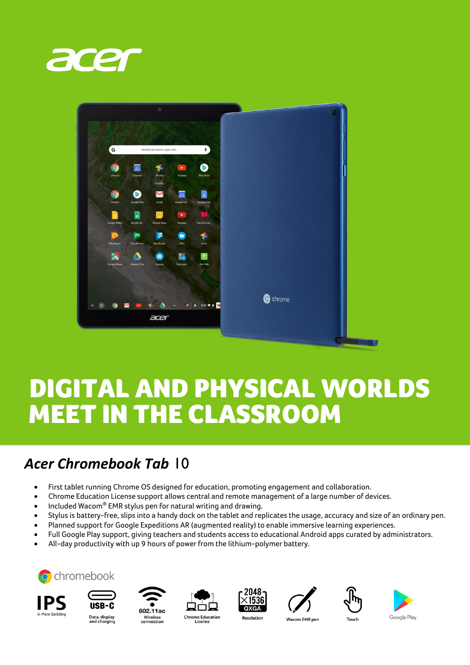



## DIGITAL AND PHYSICAL WORLDS MEET IN THE CLASSROOM

## *Acer Chromebook Tab* 10

- First tablet running Chrome OS designed for education, promoting engagement and collaboration.
- Chrome Education License support allows central and remote management of a large number of devices.
- $\bullet$  Included Wacom $^\circ$  EMR stylus pen for natural writing and drawing.
- Stylus is battery-free, slips into a handy dock on the tablet and replicates the usage, accuracy and size of an ordinary pen.
- Planned support for Google Expeditions AR (augmented reality) to enable immersive learning experiences.
- Full Google Play support, giving teachers and students access to educational Android apps curated by administrators.
- All-day productivity with up 9 hours of power from the lithium-polymer battery.



















Data, display<br>and charging

**Chrome Education** License

**Wacom EMR pen**